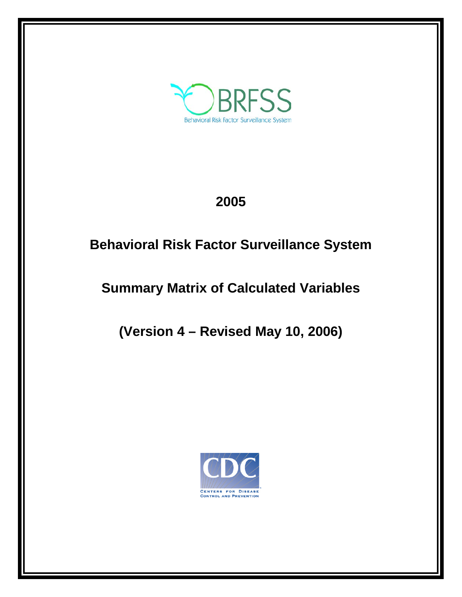

# **2005**

## **Behavioral Risk Factor Surveillance System**

# **Summary Matrix of Calculated Variables**

**(Version 4 – Revised May 10, 2006)**

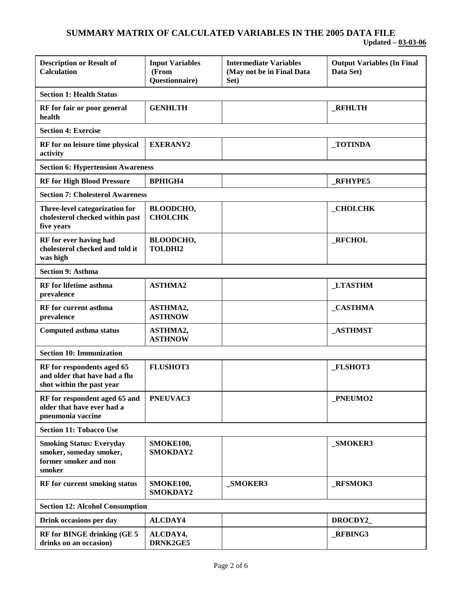| <b>Description or Result of</b><br><b>Calculation</b>                                         | <b>Input Variables</b><br>(From<br>Questionnaire) | <b>Intermediate Variables</b><br>(May not be in Final Data<br>Set) | <b>Output Variables (In Final</b><br>Data Set) |
|-----------------------------------------------------------------------------------------------|---------------------------------------------------|--------------------------------------------------------------------|------------------------------------------------|
| <b>Section 1: Health Status</b>                                                               |                                                   |                                                                    |                                                |
| RF for fair or poor general<br>health                                                         | <b>GENHLTH</b>                                    |                                                                    | <b>RFHLTH</b>                                  |
| <b>Section 4: Exercise</b>                                                                    |                                                   |                                                                    |                                                |
| RF for no leisure time physical<br>activity                                                   | <b>EXERANY2</b>                                   |                                                                    | <b>TOTINDA</b>                                 |
| <b>Section 6: Hypertension Awareness</b>                                                      |                                                   |                                                                    |                                                |
| <b>RF</b> for High Blood Pressure                                                             | <b>BPHIGH4</b>                                    |                                                                    | <b>RFHYPE5</b>                                 |
| <b>Section 7: Cholesterol Awareness</b>                                                       |                                                   |                                                                    |                                                |
| Three-level categorization for<br>cholesterol checked within past<br>five years               | <b>BLOODCHO,</b><br><b>CHOLCHK</b>                |                                                                    | <b>CHOLCHK</b>                                 |
| RF for ever having had<br>cholesterol checked and told it<br>was high                         | <b>BLOODCHO,</b><br><b>TOLDHI2</b>                |                                                                    | _RFCHOL                                        |
| <b>Section 9: Asthma</b>                                                                      |                                                   |                                                                    |                                                |
| <b>RF</b> for lifetime asthma<br>prevalence                                                   | <b>ASTHMA2</b>                                    |                                                                    | <b>LTASTHM</b>                                 |
| <b>RF</b> for current asthma<br>prevalence                                                    | ASTHMA2,<br><b>ASTHNOW</b>                        |                                                                    | _CASTHMA                                       |
| <b>Computed asthma status</b>                                                                 | ASTHMA2,<br><b>ASTHNOW</b>                        |                                                                    | <b>_ASTHMST</b>                                |
| <b>Section 10: Immunization</b>                                                               |                                                   |                                                                    |                                                |
| RF for respondents aged 65<br>and older that have had a flu<br>shot within the past year      | <b>FLUSHOT3</b>                                   |                                                                    | FLSHOT3                                        |
| RF for respondent aged 65 and<br>older that have ever had a<br>pneumonia vaccine              | PNEUVAC3                                          |                                                                    | _PNEUMO2                                       |
| <b>Section 11: Tobacco Use</b>                                                                |                                                   |                                                                    |                                                |
| <b>Smoking Status: Everyday</b><br>smoker, someday smoker,<br>former smoker and non<br>smoker | SMOKE100,<br>SMOKDAY2                             |                                                                    | _SMOKER3                                       |
| RF for current smoking status                                                                 | SMOKE100,<br>SMOKDAY2                             | _SMOKER3                                                           | _RFSMOK3                                       |
| <b>Section 12: Alcohol Consumption</b>                                                        |                                                   |                                                                    |                                                |
| Drink occasions per day                                                                       | <b>ALCDAY4</b>                                    |                                                                    | DROCDY2                                        |
| RF for BINGE drinking (GE 5<br>drinks on an occasion)                                         | ALCDAY4,<br>DRNK2GE5                              |                                                                    | _RFBING3                                       |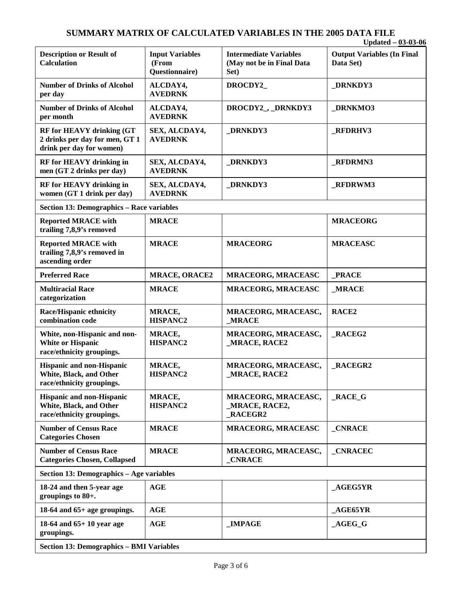## **SUMMARY MATRIX OF CALCULATED VARIABLES IN THE 2005 DATA FILE**

|                                                                                                |                                                   |                                                                    | Updated $-03-03-06$                            |
|------------------------------------------------------------------------------------------------|---------------------------------------------------|--------------------------------------------------------------------|------------------------------------------------|
| <b>Description or Result of</b><br><b>Calculation</b>                                          | <b>Input Variables</b><br>(From<br>Questionnaire) | <b>Intermediate Variables</b><br>(May not be in Final Data<br>Set) | <b>Output Variables (In Final</b><br>Data Set) |
| <b>Number of Drinks of Alcohol</b><br>per day                                                  | ALCDAY4,<br><b>AVEDRNK</b>                        | DROCDY2_                                                           | <b>DRNKDY3</b>                                 |
| <b>Number of Drinks of Alcohol</b><br>per month                                                | ALCDAY4,<br><b>AVEDRNK</b>                        | DROCDY2_, _DRNKDY3                                                 | <b>DRNKMO3</b>                                 |
| <b>RF for HEAVY drinking (GT</b><br>2 drinks per day for men, GT 1<br>drink per day for women) | SEX, ALCDAY4,<br><b>AVEDRNK</b>                   | <b>DRNKDY3</b>                                                     | <b>RFDRHV3</b>                                 |
| RF for HEAVY drinking in<br>men (GT 2 drinks per day)                                          | SEX, ALCDAY4,<br><b>AVEDRNK</b>                   | <b>DRNKDY3</b>                                                     | <b>RFDRMN3</b>                                 |
| <b>RF</b> for <b>HEAVY</b> drinking in<br>women (GT 1 drink per day)                           | SEX, ALCDAY4,<br><b>AVEDRNK</b>                   | <b>DRNKDY3</b>                                                     | <b>RFDRWM3</b>                                 |
| <b>Section 13: Demographics - Race variables</b>                                               |                                                   |                                                                    |                                                |
| <b>Reported MRACE with</b><br>trailing 7,8,9's removed                                         | <b>MRACE</b>                                      |                                                                    | <b>MRACEORG</b>                                |
| <b>Reported MRACE with</b><br>trailing 7,8,9's removed in<br>ascending order                   | <b>MRACE</b>                                      | <b>MRACEORG</b>                                                    | <b>MRACEASC</b>                                |
| <b>Preferred Race</b>                                                                          | <b>MRACE, ORACE2</b>                              | <b>MRACEORG, MRACEASC</b>                                          | <b>PRACE</b>                                   |
| <b>Multiracial Race</b><br>categorization                                                      | <b>MRACE</b>                                      | <b>MRACEORG, MRACEASC</b>                                          | <b>MRACE</b>                                   |
| <b>Race/Hispanic ethnicity</b><br>combination code                                             | MRACE,<br><b>HISPANC2</b>                         | MRACEORG, MRACEASC,<br><b>MRACE</b>                                | RACE2                                          |
| White, non-Hispanic and non-<br><b>White or Hispanic</b><br>race/ethnicity groupings.          | MRACE,<br><b>HISPANC2</b>                         | MRACEORG, MRACEASC,<br><b>MRACE, RACE2</b>                         | <b>RACEG2</b>                                  |
| <b>Hispanic and non-Hispanic</b><br>White, Black, and Other<br>race/ethnicity groupings.       | MRACE,<br><b>HISPANC2</b>                         | MRACEORG, MRACEASC,<br><b>MRACE, RACE2</b>                         | <b>RACEGR2</b>                                 |
| Hispanic and non-Hispanic<br>White, Black, and Other<br>race/ethnicity groupings.              | MRACE,<br><b>HISPANC2</b>                         | MRACEORG, MRACEASC,<br><b>MRACE, RACE2,</b><br><b>RACEGR2</b>      | RACE G                                         |
| <b>Number of Census Race</b><br><b>Categories Chosen</b>                                       | <b>MRACE</b>                                      | <b>MRACEORG, MRACEASC</b>                                          | _CNRACE                                        |
| <b>Number of Census Race</b><br><b>Categories Chosen, Collapsed</b>                            | <b>MRACE</b>                                      | MRACEORG, MRACEASC,<br><b>CNRACE</b>                               | _CNRACEC                                       |
| Section 13: Demographics - Age variables                                                       |                                                   |                                                                    |                                                |
| 18-24 and then 5-year age<br>groupings to 80+.                                                 | AGE                                               |                                                                    | $\overline{\text{AGEGSYR}}$                    |
| 18-64 and $65+$ age groupings.                                                                 | <b>AGE</b>                                        |                                                                    | $\overline{\rm AGE65YR}$                       |
| 18-64 and $65+10$ year age<br>groupings.                                                       | AGE                                               | <b>IMPAGE</b>                                                      | $\_\text{AGEG_G}$                              |
| <b>Section 13: Demographics - BMI Variables</b>                                                |                                                   |                                                                    |                                                |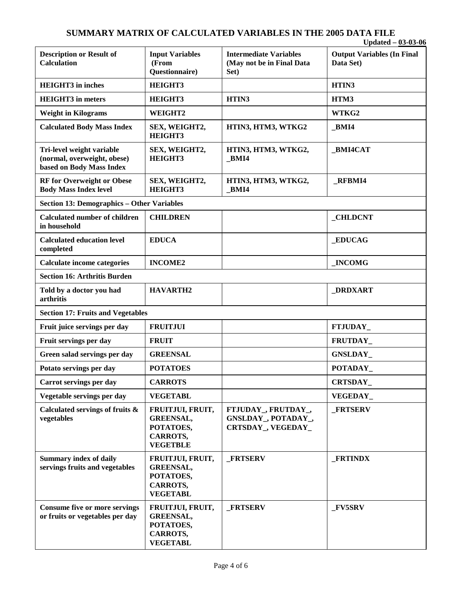#### **SUMMARY MATRIX OF CALCULATED VARIABLES IN THE 2005 DATA FILE Updated – 03-03-06**

|                                                                                      |                                                                                         |                                                                    | $U$ puateu – $U$ 3- $U$ 3- $U$ 0               |
|--------------------------------------------------------------------------------------|-----------------------------------------------------------------------------------------|--------------------------------------------------------------------|------------------------------------------------|
| <b>Description or Result of</b><br><b>Calculation</b>                                | <b>Input Variables</b><br>(From<br>Questionnaire)                                       | <b>Intermediate Variables</b><br>(May not be in Final Data<br>Set) | <b>Output Variables (In Final</b><br>Data Set) |
| <b>HEIGHT3</b> in inches                                                             | HEIGHT3                                                                                 |                                                                    | HTIN3                                          |
| <b>HEIGHT3</b> in meters                                                             | HEIGHT3                                                                                 | HTIN3                                                              | HTM3                                           |
| <b>Weight in Kilograms</b>                                                           | WEIGHT2                                                                                 |                                                                    | WTKG2                                          |
| <b>Calculated Body Mass Index</b>                                                    | SEX, WEIGHT2,<br><b>HEIGHT3</b>                                                         | HTIN3, HTM3, WTKG2                                                 | BMI4                                           |
| Tri-level weight variable<br>(normal, overweight, obese)<br>based on Body Mass Index | SEX, WEIGHT2,<br>HEIGHT3                                                                | HTIN3, HTM3, WTKG2,<br>BMI4                                        | BMI4CAT                                        |
| <b>RF</b> for Overweight or Obese<br><b>Body Mass Index level</b>                    | SEX, WEIGHT2,<br><b>HEIGHT3</b>                                                         | HTIN3, HTM3, WTKG2,<br><b>BMI4</b>                                 | <b>RFBMI4</b>                                  |
| <b>Section 13: Demographics - Other Variables</b>                                    |                                                                                         |                                                                    |                                                |
| <b>Calculated number of children</b><br>in household                                 | <b>CHILDREN</b>                                                                         |                                                                    | <b>CHLDCNT</b>                                 |
| <b>Calculated education level</b><br>completed                                       | <b>EDUCA</b>                                                                            |                                                                    | <b>EDUCAG</b>                                  |
| <b>Calculate income categories</b>                                                   | <b>INCOME2</b>                                                                          |                                                                    | <b>INCOMG</b>                                  |
| <b>Section 16: Arthritis Burden</b>                                                  |                                                                                         |                                                                    |                                                |
| Told by a doctor you had<br>arthritis                                                | <b>HAVARTH2</b>                                                                         |                                                                    | <b>DRDXART</b>                                 |
| <b>Section 17: Fruits and Vegetables</b>                                             |                                                                                         |                                                                    |                                                |
| Fruit juice servings per day                                                         | <b>FRUITJUI</b>                                                                         |                                                                    | FTJUDAY_                                       |
| Fruit servings per day                                                               | <b>FRUIT</b>                                                                            |                                                                    | FRUTDAY_                                       |
| Green salad servings per day                                                         | <b>GREENSAL</b>                                                                         |                                                                    | <b>GNSLDAY</b>                                 |
| Potato servings per day                                                              | <b>POTATOES</b>                                                                         |                                                                    | POTADAY                                        |
| Carrot servings per day                                                              | <b>CARROTS</b>                                                                          |                                                                    | CRTSDAY_                                       |
| Vegetable servings per day                                                           | <b>VEGETABL</b>                                                                         |                                                                    | VEGEDAY_                                       |
| Calculated servings of fruits &<br>vegetables                                        | FRUITJUI, FRUIT,<br><b>GREENSAL,</b><br>POTATOES,<br><b>CARROTS,</b><br><b>VEGETBLE</b> | FTJUDAY_, FRUTDAY_,<br>GNSLDAY_, POTADAY_,<br>CRTSDAY_, VEGEDAY_   | <b>FRTSERV</b>                                 |
| <b>Summary index of daily</b><br>servings fruits and vegetables                      | FRUITJUI, FRUIT,<br><b>GREENSAL,</b><br>POTATOES,<br><b>CARROTS,</b><br><b>VEGETABL</b> | <b>FRTSERV</b>                                                     | <b>FRTINDX</b>                                 |
| <b>Consume five or more servings</b><br>or fruits or vegetables per day              | FRUITJUI, FRUIT,<br><b>GREENSAL,</b><br>POTATOES,<br>CARROTS,<br><b>VEGETABL</b>        | <b>FRTSERV</b>                                                     | $_FV5SRV$                                      |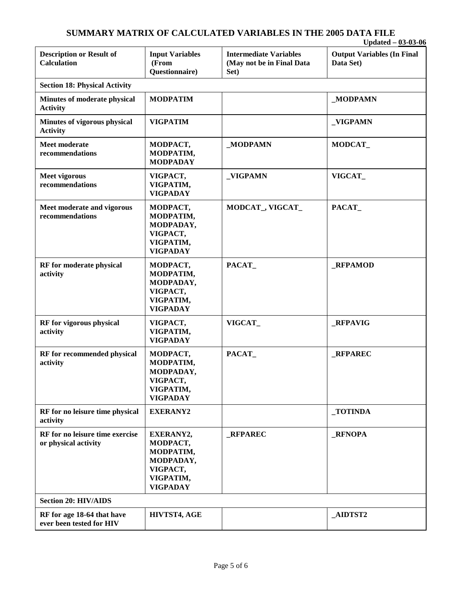#### **SUMMARY MATRIX OF CALCULATED VARIABLES IN THE 2005 DATA FILE Updated – 03-03-06**

|                                                         |                                                                                             |                                                                    | $U$ paated – 03-03-00                          |
|---------------------------------------------------------|---------------------------------------------------------------------------------------------|--------------------------------------------------------------------|------------------------------------------------|
| <b>Description or Result of</b><br><b>Calculation</b>   | <b>Input Variables</b><br>(From<br>Questionnaire)                                           | <b>Intermediate Variables</b><br>(May not be in Final Data<br>Set) | <b>Output Variables (In Final</b><br>Data Set) |
| <b>Section 18: Physical Activity</b>                    |                                                                                             |                                                                    |                                                |
| Minutes of moderate physical<br><b>Activity</b>         | <b>MODPATIM</b>                                                                             |                                                                    | _MODPAMN                                       |
| Minutes of vigorous physical<br><b>Activity</b>         | <b>VIGPATIM</b>                                                                             |                                                                    | _VIGPAMN                                       |
| <b>Meet moderate</b><br>recommendations                 | MODPACT,<br>MODPATIM,<br><b>MODPADAY</b>                                                    | _MODPAMN                                                           | MODCAT_                                        |
| Meet vigorous<br>recommendations                        | VIGPACT,<br>VIGPATIM,<br><b>VIGPADAY</b>                                                    | _VIGPAMN                                                           | VIGCAT                                         |
| Meet moderate and vigorous<br>recommendations           | MODPACT,<br>MODPATIM,<br>MODPADAY,<br>VIGPACT,<br>VIGPATIM,<br><b>VIGPADAY</b>              | MODCAT_, VIGCAT_                                                   | PACAT                                          |
| RF for moderate physical<br>activity                    | MODPACT,<br>MODPATIM,<br>MODPADAY,<br>VIGPACT,<br>VIGPATIM,<br><b>VIGPADAY</b>              | PACAT                                                              | <b>_RFPAMOD</b>                                |
| RF for vigorous physical<br>activity                    | VIGPACT,<br>VIGPATIM,<br><b>VIGPADAY</b>                                                    | VIGCAT                                                             | _RFPAVIG                                       |
| RF for recommended physical<br>activity                 | MODPACT,<br>MODPATIM,<br>MODPADAY,<br>VIGPACT,<br>VIGPATIM,<br><b>VIGPADAY</b>              | PACAT                                                              | <b>RFPAREC</b>                                 |
| RF for no leisure time physical<br>activity             | <b>EXERANY2</b>                                                                             |                                                                    | _TOTINDA                                       |
| RF for no leisure time exercise<br>or physical activity | EXERANY2,<br>MODPACT,<br>MODPATIM,<br>MODPADAY,<br>VIGPACT,<br>VIGPATIM,<br><b>VIGPADAY</b> | <b>RFPAREC</b>                                                     | <b>_RFNOPA</b>                                 |
| <b>Section 20: HIV/AIDS</b>                             |                                                                                             |                                                                    |                                                |
| RF for age 18-64 that have<br>ever been tested for HIV  | HIVTST4, AGE                                                                                |                                                                    | _AIDTST2                                       |